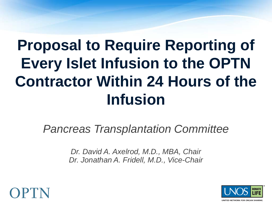# **Proposal to Require Reporting of Every Islet Infusion to the OPTN Contractor Within 24 Hours of the Infusion**

*Pancreas Transplantation Committee*

*Dr. David A. Axelrod, M.D., MBA, Chair Dr. Jonathan A. Fridell, M.D., Vice-Chair*



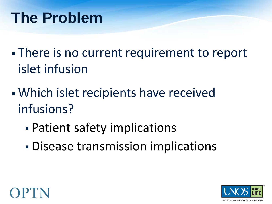#### **The Problem**

- There is no current requirement to report islet infusion
- Which islet recipients have received infusions?
	- Patient safety implications
	- Disease transmission implications



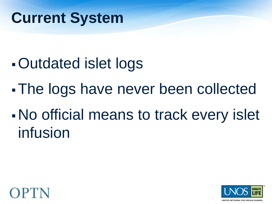#### **Current System**

- Outdated islet logs
- The logs have never been collected
- No official means to track every islet infusion



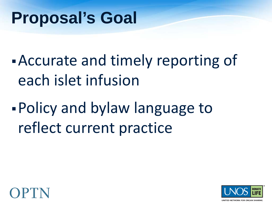## **Proposal's Goal**

Accurate and timely reporting of each islet infusion

Policy and bylaw language to reflect current practice



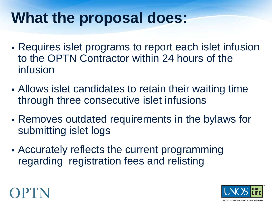## **What the proposal does:**

- Requires islet programs to report each islet infusion to the OPTN Contractor within 24 hours of the infusion
- Allows islet candidates to retain their waiting time through three consecutive islet infusions
- Removes outdated requirements in the bylaws for submitting islet logs
- Accurately reflects the current programming regarding registration fees and relisting



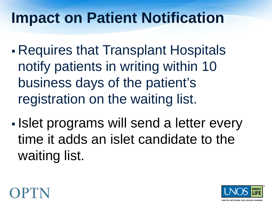#### **Impact on Patient Notification**

- Requires that Transplant Hospitals notify patients in writing within 10 business days of the patient's registration on the waiting list.
- **Islet programs will send a letter every** time it adds an islet candidate to the waiting list.



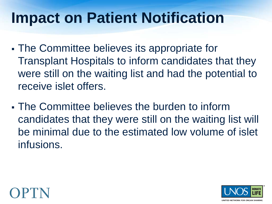#### **Impact on Patient Notification**

- The Committee believes its appropriate for Transplant Hospitals to inform candidates that they were still on the waiting list and had the potential to receive islet offers.
- The Committee believes the burden to inform candidates that they were still on the waiting list will be minimal due to the estimated low volume of islet infusions.



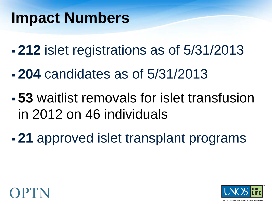#### **Impact Numbers**

- **212** islet registrations as of 5/31/2013
- **204** candidates as of 5/31/2013
- **53** waitlist removals for islet transfusion in 2012 on 46 individuals
- **21** approved islet transplant programs



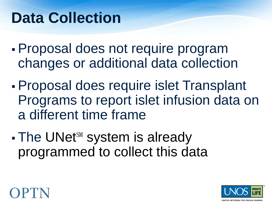## **Data Collection**

- Proposal does not require program changes or additional data collection
- Proposal does require islet Transplant Programs to report islet infusion data on a different time frame
- The UNet<sup>sM</sup> system is already programmed to collect this data



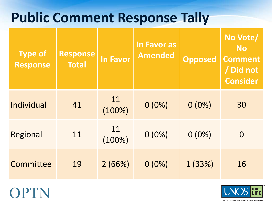#### **Public Comment Response Tally**

| <b>Type of</b><br><b>Response</b> | <b>Response</b><br><b>Total</b> | <b>In Favor</b> | <b>In Favor as</b><br>Amended | <b>Opposed</b> | No Vote/<br><b>No</b><br><b>Comment</b><br>/ Did not<br><b>Consider</b> |
|-----------------------------------|---------------------------------|-----------------|-------------------------------|----------------|-------------------------------------------------------------------------|
| Individual                        | 41                              | 11<br>$(100\%)$ | $0(0\%)$                      | $0(0\%)$       | 30                                                                      |
| Regional                          | 11                              | 11<br>$(100\%)$ | $0(0\%)$                      | $0(0\%)$       | $\overline{0}$                                                          |
| Committee                         | 19                              | 2(66%)          | $0(0\%)$                      | 1(33%)         | 16                                                                      |





UNITED NETWORK FOR ORGAN SHARING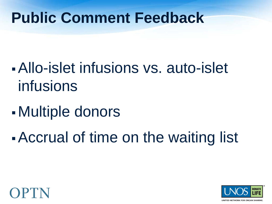#### **Public Comment Feedback**

- Allo-islet infusions vs. auto-islet infusions
- Multiple donors
- Accrual of time on the waiting list



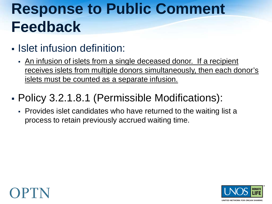## **Response to Public Comment Feedback**

#### **- Islet infusion definition:**

 An infusion of islets from a single deceased donor. If a recipient receives islets from multiple donors simultaneously, then each donor's islets must be counted as a separate infusion.

#### Policy 3.2.1.8.1 (Permissible Modifications):

 Provides islet candidates who have returned to the waiting list a process to retain previously accrued waiting time.



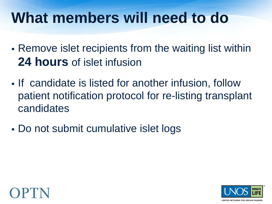#### **What members will need to do**

- Remove islet recipients from the waiting list within **24 hours** of islet infusion
- If candidate is listed for another infusion, follow patient notification protocol for re-listing transplant candidates
- Do not submit cumulative islet logs



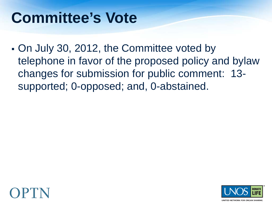#### **Committee's Vote**

 On July 30, 2012, the Committee voted by telephone in favor of the proposed policy and bylaw changes for submission for public comment: 13 supported; 0-opposed; and, 0-abstained.



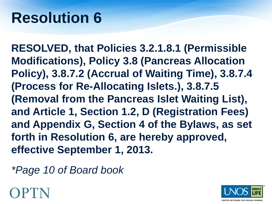#### **Resolution 6**

**RESOLVED, that Policies 3.2.1.8.1 (Permissible Modifications), Policy 3.8 (Pancreas Allocation Policy), 3.8.7.2 (Accrual of Waiting Time), 3.8.7.4 (Process for Re-Allocating Islets.), 3.8.7.5 (Removal from the Pancreas Islet Waiting List), and Article 1, Section 1.2, D (Registration Fees) and Appendix G, Section 4 of the Bylaws, as set forth in Resolution 6, are hereby approved, effective September 1, 2013.** 

*\*Page 10 of Board book*

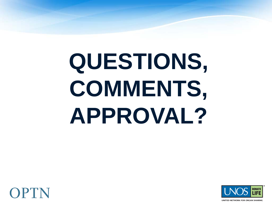# **QUESTIONS, COMMENTS, APPROVAL?**